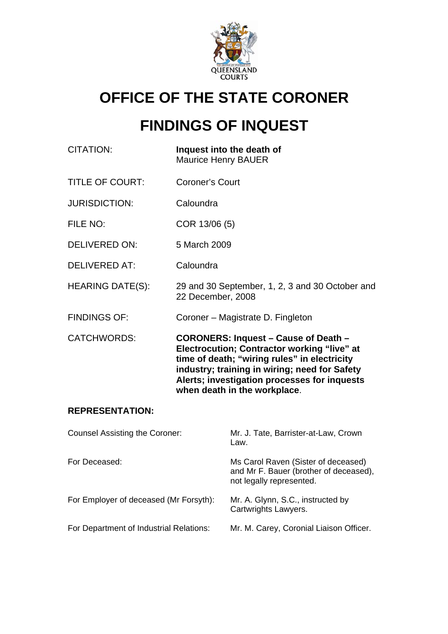

## **OFFICE OF THE STATE CORONER**

# **FINDINGS OF INQUEST**

| <b>CITATION:</b>                      | Inquest into the death of<br><b>Maurice Henry BAUER</b>                                                                                                                                                                                                                     |                                                                                                           |
|---------------------------------------|-----------------------------------------------------------------------------------------------------------------------------------------------------------------------------------------------------------------------------------------------------------------------------|-----------------------------------------------------------------------------------------------------------|
| <b>TITLE OF COURT:</b>                | <b>Coroner's Court</b>                                                                                                                                                                                                                                                      |                                                                                                           |
| <b>JURISDICTION:</b>                  | Caloundra                                                                                                                                                                                                                                                                   |                                                                                                           |
| FILE NO:                              | COR 13/06 (5)                                                                                                                                                                                                                                                               |                                                                                                           |
| DELIVERED ON:                         | 5 March 2009                                                                                                                                                                                                                                                                |                                                                                                           |
| <b>DELIVERED AT:</b>                  | Caloundra                                                                                                                                                                                                                                                                   |                                                                                                           |
| <b>HEARING DATE(S):</b>               | 29 and 30 September, 1, 2, 3 and 30 October and<br>22 December, 2008                                                                                                                                                                                                        |                                                                                                           |
| <b>FINDINGS OF:</b>                   | Coroner – Magistrate D. Fingleton                                                                                                                                                                                                                                           |                                                                                                           |
| <b>CATCHWORDS:</b>                    | <b>CORONERS: Inquest - Cause of Death -</b><br>Electrocution; Contractor working "live" at<br>time of death; "wiring rules" in electricity<br>industry; training in wiring; need for Safety<br>Alerts; investigation processes for inquests<br>when death in the workplace. |                                                                                                           |
| <b>REPRESENTATION:</b>                |                                                                                                                                                                                                                                                                             |                                                                                                           |
| <b>Counsel Assisting the Coroner:</b> |                                                                                                                                                                                                                                                                             | Mr. J. Tate, Barrister-at-Law, Crown<br>Law.                                                              |
| For Deceased:                         |                                                                                                                                                                                                                                                                             | Ms Carol Raven (Sister of deceased)<br>and Mr F. Bauer (brother of deceased),<br>not legally represented. |

For Employer of deceased (Mr Forsyth):

For Department of Industrial Relations: Mr. M. Carey, Coronial Liaison Officer.

Mr. A. Glynn, S.C., instructed by<br>Cartwrights Lawyers.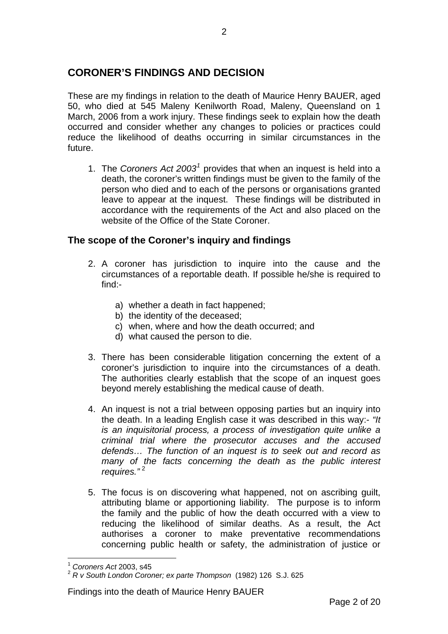## **CORONER'S FINDINGS AND DECISION**

These are my findings in relation to the death of Maurice Henry BAUER, aged 50, who died at 545 Maleny Kenilworth Road, Maleny, Queensland on 1 March, 2006 from a work injury. These findings seek to explain how the death occurred and consider whether any changes to policies or practices could reduce the likelihood of deaths occurring in similar circumstances in the future.

[1](#page-1-0). The *Coroners Act 2003<sup>1</sup>* provides that when an inquest is held into a death, the coroner's written findings must be given to the family of the person who died and to each of the persons or organisations granted leave to appear at the inquest. These findings will be distributed in accordance with the requirements of the Act and also placed on the website of the Office of the State Coroner.

## **The scope of the Coroner's inquiry and findings**

- 2. A coroner has jurisdiction to inquire into the cause and the circumstances of a reportable death. If possible he/she is required to find:
	- a) whether a death in fact happened;
	- b) the identity of the deceased;
	- c) when, where and how the death occurred; and
	- d) what caused the person to die.
- 3. There has been considerable litigation concerning the extent of a coroner's jurisdiction to inquire into the circumstances of a death. The authorities clearly establish that the scope of an inquest goes beyond merely establishing the medical cause of death.
- 4. An inquest is not a trial between opposing parties but an inquiry into the death. In a leading English case it was described in this way:- *"It is an inquisitorial process, a process of investigation quite unlike a criminal trial where the prosecutor accuses and the accused defends… The function of an inquest is to seek out and record as many of the facts concerning the death as the public interest requires.*"<sup>[2](#page-1-1)</sup>
- 5. The focus is on discovering what happened, not on ascribing guilt, attributing blame or apportioning liability. The purpose is to inform the family and the public of how the death occurred with a view to reducing the likelihood of similar deaths. As a result, the Act authorises a coroner to make preventative recommendations concerning public health or safety, the administration of justice or

2

 $\overline{a}$ <sup>1</sup> *Coroners Act* 2003, s45

<span id="page-1-1"></span><span id="page-1-0"></span><sup>2</sup> *R v South London Coroner; ex parte Thompson* (1982) 126 S.J. 625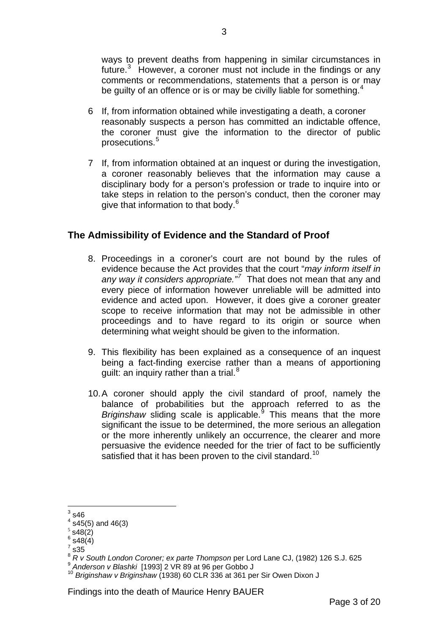ways to prevent deaths from happening in similar circumstances in future.<sup>[3](#page-2-0)</sup> However, a coroner must not include in the findings or any comments or recommendations, statements that a person is or may be guilty of an offence or is or may be civilly liable for something.<sup>[4](#page-2-1)</sup>

- 6 If, from information obtained while investigating a death, a coroner reasonably suspects a person has committed an indictable offence, the coroner must give the information to the director of public prosecutions.[5](#page-2-2)
- 7 If, from information obtained at an inquest or during the investigation, a coroner reasonably believes that the information may cause a disciplinary body for a person's profession or trade to inquire into or take steps in relation to the person's conduct, then the coroner may give that information to that body.<sup>[6](#page-2-3)</sup>

## **The Admissibility of Evidence and the Standard of Proof**

- 8. Proceedings in a coroner's court are not bound by the rules of evidence because the Act provides that the court "*may inform itself in*  any way it considers appropriate.<sup>"[7](#page-2-4)</sup> That does not mean that any and every piece of information however unreliable will be admitted into evidence and acted upon. However, it does give a coroner greater scope to receive information that may not be admissible in other proceedings and to have regard to its origin or source when determining what weight should be given to the information.
- 9. This flexibility has been explained as a consequence of an inquest being a fact-finding exercise rather than a means of apportioning guilt: an inquiry rather than a trial. $8$
- 10. A coroner should apply the civil standard of proof, namely the balance of probabilities but the approach referred to as the Briginshaw sliding scale is applicable.<sup>[9](#page-2-6)</sup> This means that the more significant the issue to be determined, the more serious an allegation or the more inherently unlikely an occurrence, the clearer and more persuasive the evidence needed for the trier of fact to be sufficiently satisfied that it has been proven to the civil standard.<sup>[10](#page-2-7)</sup>

 $\overline{a}$  $3$  s46

<span id="page-2-0"></span> $^4$  s45(5) and 46(3)

<span id="page-2-3"></span><span id="page-2-2"></span><span id="page-2-1"></span> $5$  s48(2)

 $6 \overline{\text{ }648(4)}$ 

 $^7$  s35

<span id="page-2-6"></span><span id="page-2-5"></span><span id="page-2-4"></span><sup>&</sup>lt;sup>8</sup> R v South London Coroner; ex parte Thompson per Lord Lane CJ, (1982) 126 S.J. 625<br>
<sup>9</sup> Anderson v Blashki [1993] 2 VR 89 at 96 per Gobbo J<br>
<sup>10</sup> Briginshaw v Briginshaw (1938) 60 CLR 336 at 361 per Sir Owen Dixon J

<span id="page-2-7"></span>

Findings into the death of Maurice Henry BAUER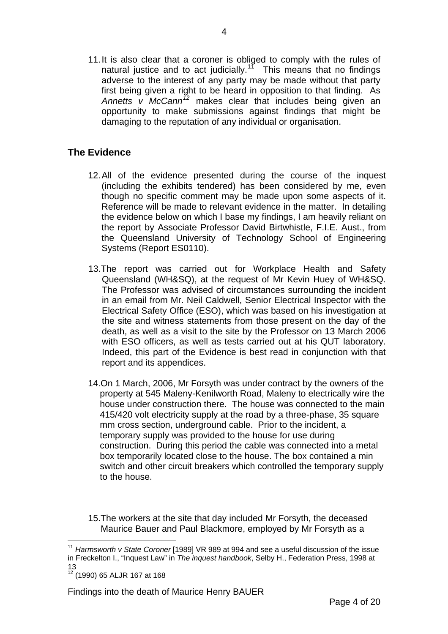11. It is also clear that a coroner is obliged to comply with the rules of natural justice and to act judicially.<sup>[11](#page-3-0)</sup> This means that no findings adverse to the interest of any party may be made without that party first being given a right to be heard in opposition to that finding. As *Annetts v McCann[12](#page-3-1)* makes clear that includes being given an opportunity to make submissions against findings that might be damaging to the reputation of any individual or organisation.

## **The Evidence**

- 12. All of the evidence presented during the course of the inquest (including the exhibits tendered) has been considered by me, even though no specific comment may be made upon some aspects of it. Reference will be made to relevant evidence in the matter. In detailing the evidence below on which I base my findings, I am heavily reliant on the report by Associate Professor David Birtwhistle, F.I.E. Aust., from the Queensland University of Technology School of Engineering Systems (Report ES0110).
- 13.The report was carried out for Workplace Health and Safety Queensland (WH&SQ), at the request of Mr Kevin Huey of WH&SQ. The Professor was advised of circumstances surrounding the incident in an email from Mr. Neil Caldwell, Senior Electrical Inspector with the Electrical Safety Office (ESO), which was based on his investigation at the site and witness statements from those present on the day of the death, as well as a visit to the site by the Professor on 13 March 2006 with ESO officers, as well as tests carried out at his QUT laboratory. Indeed, this part of the Evidence is best read in conjunction with that report and its appendices.
- 14.On 1 March, 2006, Mr Forsyth was under contract by the owners of the property at 545 Maleny-Kenilworth Road, Maleny to electrically wire the house under construction there. The house was connected to the main 415/420 volt electricity supply at the road by a three-phase, 35 square mm cross section, underground cable. Prior to the incident, a temporary supply was provided to the house for use during construction. During this period the cable was connected into a metal box temporarily located close to the house. The box contained a min switch and other circuit breakers which controlled the temporary supply to the house.
- 15.The workers at the site that day included Mr Forsyth, the deceased Maurice Bauer and Paul Blackmore, employed by Mr Forsyth as a

<span id="page-3-0"></span> $\overline{a}$ <sup>11</sup> Harmsworth v State Coroner [1989] VR 989 at 994 and see a useful discussion of the issue in Freckelton I., "Inquest Law" in *The inquest handbook*, Selby H., Federation Press, 1998 at 13

<span id="page-3-1"></span> $12^{12}$  (1990) 65 ALJR 167 at 168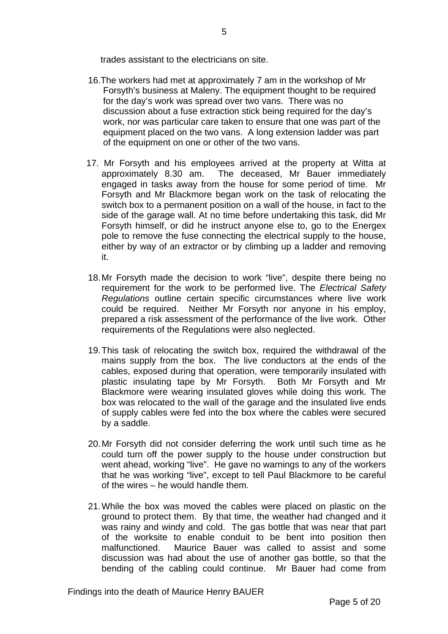trades assistant to the electricians on site.

- 16.The workers had met at approximately 7 am in the workshop of Mr Forsyth's business at Maleny. The equipment thought to be required for the day's work was spread over two vans. There was no discussion about a fuse extraction stick being required for the day's work, nor was particular care taken to ensure that one was part of the equipment placed on the two vans. A long extension ladder was part of the equipment on one or other of the two vans.
- 17. Mr Forsyth and his employees arrived at the property at Witta at approximately 8.30 am. The deceased, Mr Bauer immediately engaged in tasks away from the house for some period of time. Mr Forsyth and Mr Blackmore began work on the task of relocating the switch box to a permanent position on a wall of the house, in fact to the side of the garage wall. At no time before undertaking this task, did Mr Forsyth himself, or did he instruct anyone else to, go to the Energex pole to remove the fuse connecting the electrical supply to the house, either by way of an extractor or by climbing up a ladder and removing it.
- 18. Mr Forsyth made the decision to work "live", despite there being no requirement for the work to be performed live. The *Electrical Safety Regulations* outline certain specific circumstances where live work could be required. Neither Mr Forsyth nor anyone in his employ, prepared a risk assessment of the performance of the live work. Other requirements of the Regulations were also neglected.
- 19. This task of relocating the switch box, required the withdrawal of the mains supply from the box. The live conductors at the ends of the cables, exposed during that operation, were temporarily insulated with plastic insulating tape by Mr Forsyth. Both Mr Forsyth and Mr Blackmore were wearing insulated gloves while doing this work. The box was relocated to the wall of the garage and the insulated live ends of supply cables were fed into the box where the cables were secured by a saddle.
- 20. Mr Forsyth did not consider deferring the work until such time as he could turn off the power supply to the house under construction but went ahead, working "live". He gave no warnings to any of the workers that he was working "live", except to tell Paul Blackmore to be careful of the wires – he would handle them.
- 21. While the box was moved the cables were placed on plastic on the ground to protect them. By that time, the weather had changed and it was rainy and windy and cold. The gas bottle that was near that part of the worksite to enable conduit to be bent into position then malfunctioned. Maurice Bauer was called to assist and some discussion was had about the use of another gas bottle, so that the bending of the cabling could continue. Mr Bauer had come from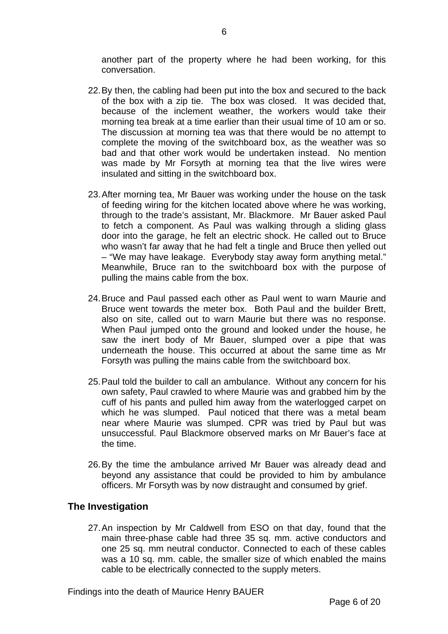another part of the property where he had been working, for this conversation.

- 22. By then, the cabling had been put into the box and secured to the back of the box with a zip tie. The box was closed. It was decided that, because of the inclement weather, the workers would take their morning tea break at a time earlier than their usual time of 10 am or so. The discussion at morning tea was that there would be no attempt to complete the moving of the switchboard box, as the weather was so bad and that other work would be undertaken instead. No mention was made by Mr Forsyth at morning tea that the live wires were insulated and sitting in the switchboard box.
- 23. After morning tea, Mr Bauer was working under the house on the task of feeding wiring for the kitchen located above where he was working, through to the trade's assistant, Mr. Blackmore. Mr Bauer asked Paul to fetch a component. As Paul was walking through a sliding glass door into the garage, he felt an electric shock. He called out to Bruce who wasn't far away that he had felt a tingle and Bruce then yelled out – "We may have leakage. Everybody stay away form anything metal." Meanwhile, Bruce ran to the switchboard box with the purpose of pulling the mains cable from the box.
- 24. Bruce and Paul passed each other as Paul went to warn Maurie and Bruce went towards the meter box. Both Paul and the builder Brett, also on site, called out to warn Maurie but there was no response. When Paul jumped onto the ground and looked under the house, he saw the inert body of Mr Bauer, slumped over a pipe that was underneath the house. This occurred at about the same time as Mr Forsyth was pulling the mains cable from the switchboard box.
- 25. Paul told the builder to call an ambulance. Without any concern for his own safety, Paul crawled to where Maurie was and grabbed him by the cuff of his pants and pulled him away from the waterlogged carpet on which he was slumped. Paul noticed that there was a metal beam near where Maurie was slumped. CPR was tried by Paul but was unsuccessful. Paul Blackmore observed marks on Mr Bauer's face at the time.
- 26. By the time the ambulance arrived Mr Bauer was already dead and beyond any assistance that could be provided to him by ambulance officers. Mr Forsyth was by now distraught and consumed by grief.

#### **The Investigation**

27. An inspection by Mr Caldwell from ESO on that day, found that the main three-phase cable had three 35 sq. mm. active conductors and one 25 sq. mm neutral conductor. Connected to each of these cables was a 10 sq. mm. cable, the smaller size of which enabled the mains cable to be electrically connected to the supply meters.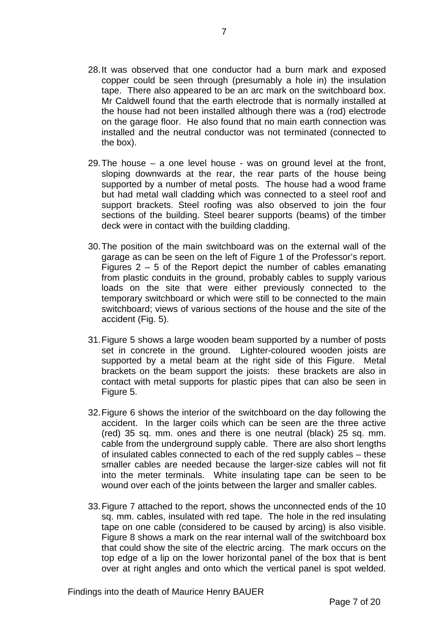- 28. It was observed that one conductor had a burn mark and exposed copper could be seen through (presumably a hole in) the insulation tape. There also appeared to be an arc mark on the switchboard box. Mr Caldwell found that the earth electrode that is normally installed at the house had not been installed although there was a (rod) electrode on the garage floor. He also found that no main earth connection was installed and the neutral conductor was not terminated (connected to the box).
- 29. The house a one level house was on ground level at the front, sloping downwards at the rear, the rear parts of the house being supported by a number of metal posts. The house had a wood frame but had metal wall cladding which was connected to a steel roof and support brackets. Steel roofing was also observed to join the four sections of the building. Steel bearer supports (beams) of the timber deck were in contact with the building cladding.
- 30. The position of the main switchboard was on the external wall of the garage as can be seen on the left of Figure 1 of the Professor's report. Figures  $2 - 5$  of the Report depict the number of cables emanating from plastic conduits in the ground, probably cables to supply various loads on the site that were either previously connected to the temporary switchboard or which were still to be connected to the main switchboard; views of various sections of the house and the site of the accident (Fig. 5).
- 31. Figure 5 shows a large wooden beam supported by a number of posts set in concrete in the ground. Lighter-coloured wooden joists are supported by a metal beam at the right side of this Figure. Metal brackets on the beam support the joists: these brackets are also in contact with metal supports for plastic pipes that can also be seen in Figure 5.
- 32. Figure 6 shows the interior of the switchboard on the day following the accident. In the larger coils which can be seen are the three active (red) 35 sq. mm. ones and there is one neutral (black) 25 sq. mm. cable from the underground supply cable. There are also short lengths of insulated cables connected to each of the red supply cables – these smaller cables are needed because the larger-size cables will not fit into the meter terminals. White insulating tape can be seen to be wound over each of the joints between the larger and smaller cables.
- 33. Figure 7 attached to the report, shows the unconnected ends of the 10 sq. mm. cables, insulated with red tape. The hole in the red insulating tape on one cable (considered to be caused by arcing) is also visible. Figure 8 shows a mark on the rear internal wall of the switchboard box that could show the site of the electric arcing. The mark occurs on the top edge of a lip on the lower horizontal panel of the box that is bent over at right angles and onto which the vertical panel is spot welded.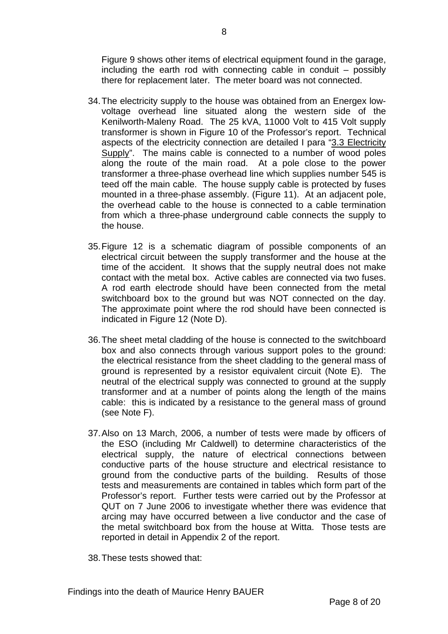Figure 9 shows other items of electrical equipment found in the garage, including the earth rod with connecting cable in conduit – possibly there for replacement later. The meter board was not connected.

- 34. The electricity supply to the house was obtained from an Energex lowvoltage overhead line situated along the western side of the Kenilworth-Maleny Road. The 25 kVA, 11000 Volt to 415 Volt supply transformer is shown in Figure 10 of the Professor's report. Technical aspects of the electricity connection are detailed I para "3.3 Electricity Supply". The mains cable is connected to a number of wood poles along the route of the main road. At a pole close to the power transformer a three-phase overhead line which supplies number 545 is teed off the main cable. The house supply cable is protected by fuses mounted in a three-phase assembly. (Figure 11). At an adjacent pole, the overhead cable to the house is connected to a cable termination from which a three-phase underground cable connects the supply to the house.
- 35. Figure 12 is a schematic diagram of possible components of an electrical circuit between the supply transformer and the house at the time of the accident. It shows that the supply neutral does not make contact with the metal box. Active cables are connected via two fuses. A rod earth electrode should have been connected from the metal switchboard box to the ground but was NOT connected on the day. The approximate point where the rod should have been connected is indicated in Figure 12 (Note D).
- 36. The sheet metal cladding of the house is connected to the switchboard box and also connects through various support poles to the ground: the electrical resistance from the sheet cladding to the general mass of ground is represented by a resistor equivalent circuit (Note E). The neutral of the electrical supply was connected to ground at the supply transformer and at a number of points along the length of the mains cable: this is indicated by a resistance to the general mass of ground (see Note F).
- 37. Also on 13 March, 2006, a number of tests were made by officers of the ESO (including Mr Caldwell) to determine characteristics of the electrical supply, the nature of electrical connections between conductive parts of the house structure and electrical resistance to ground from the conductive parts of the building. Results of those tests and measurements are contained in tables which form part of the Professor's report. Further tests were carried out by the Professor at QUT on 7 June 2006 to investigate whether there was evidence that arcing may have occurred between a live conductor and the case of the metal switchboard box from the house at Witta. Those tests are reported in detail in Appendix 2 of the report.
- 38. These tests showed that: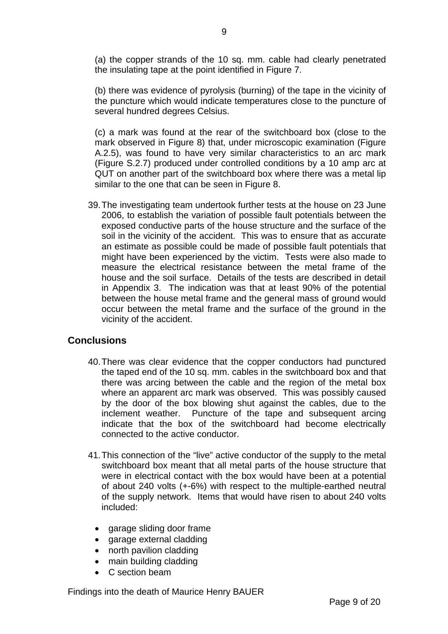(a) the copper strands of the 10 sq. mm. cable had clearly penetrated the insulating tape at the point identified in Figure 7.

(b) there was evidence of pyrolysis (burning) of the tape in the vicinity of the puncture which would indicate temperatures close to the puncture of several hundred degrees Celsius.

(c) a mark was found at the rear of the switchboard box (close to the mark observed in Figure 8) that, under microscopic examination (Figure A.2.5), was found to have very similar characteristics to an arc mark (Figure S.2.7) produced under controlled conditions by a 10 amp arc at QUT on another part of the switchboard box where there was a metal lip similar to the one that can be seen in Figure 8.

39. The investigating team undertook further tests at the house on 23 June 2006, to establish the variation of possible fault potentials between the exposed conductive parts of the house structure and the surface of the soil in the vicinity of the accident. This was to ensure that as accurate an estimate as possible could be made of possible fault potentials that might have been experienced by the victim. Tests were also made to measure the electrical resistance between the metal frame of the house and the soil surface. Details of the tests are described in detail in Appendix 3. The indication was that at least 90% of the potential between the house metal frame and the general mass of ground would occur between the metal frame and the surface of the ground in the vicinity of the accident.

## **Conclusions**

- 40. There was clear evidence that the copper conductors had punctured the taped end of the 10 sq. mm. cables in the switchboard box and that there was arcing between the cable and the region of the metal box where an apparent arc mark was observed. This was possibly caused by the door of the box blowing shut against the cables, due to the inclement weather. Puncture of the tape and subsequent arcing indicate that the box of the switchboard had become electrically connected to the active conductor.
- 41. This connection of the "live" active conductor of the supply to the metal switchboard box meant that all metal parts of the house structure that were in electrical contact with the box would have been at a potential of about 240 volts (+-6%) with respect to the multiple-earthed neutral of the supply network. Items that would have risen to about 240 volts included:
	- garage sliding door frame
	- garage external cladding
	- north pavilion cladding
	- main building cladding
	- C section beam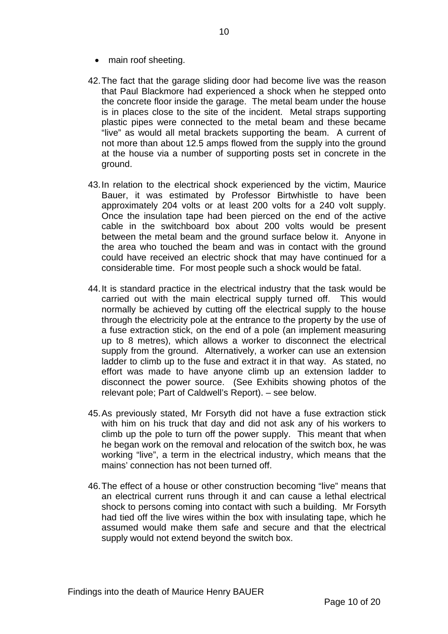- main roof sheeting.
- 42. The fact that the garage sliding door had become live was the reason that Paul Blackmore had experienced a shock when he stepped onto the concrete floor inside the garage. The metal beam under the house is in places close to the site of the incident. Metal straps supporting plastic pipes were connected to the metal beam and these became "live" as would all metal brackets supporting the beam. A current of not more than about 12.5 amps flowed from the supply into the ground at the house via a number of supporting posts set in concrete in the ground.
- 43. In relation to the electrical shock experienced by the victim, Maurice Bauer, it was estimated by Professor Birtwhistle to have been approximately 204 volts or at least 200 volts for a 240 volt supply. Once the insulation tape had been pierced on the end of the active cable in the switchboard box about 200 volts would be present between the metal beam and the ground surface below it. Anyone in the area who touched the beam and was in contact with the ground could have received an electric shock that may have continued for a considerable time. For most people such a shock would be fatal.
- 44. It is standard practice in the electrical industry that the task would be carried out with the main electrical supply turned off. This would normally be achieved by cutting off the electrical supply to the house through the electricity pole at the entrance to the property by the use of a fuse extraction stick, on the end of a pole (an implement measuring up to 8 metres), which allows a worker to disconnect the electrical supply from the ground. Alternatively, a worker can use an extension ladder to climb up to the fuse and extract it in that way. As stated, no effort was made to have anyone climb up an extension ladder to disconnect the power source. (See Exhibits showing photos of the relevant pole; Part of Caldwell's Report). – see below.
- 45. As previously stated, Mr Forsyth did not have a fuse extraction stick with him on his truck that day and did not ask any of his workers to climb up the pole to turn off the power supply. This meant that when he began work on the removal and relocation of the switch box, he was working "live", a term in the electrical industry, which means that the mains' connection has not been turned off.
- 46. The effect of a house or other construction becoming "live" means that an electrical current runs through it and can cause a lethal electrical shock to persons coming into contact with such a building. Mr Forsyth had tied off the live wires within the box with insulating tape, which he assumed would make them safe and secure and that the electrical supply would not extend beyond the switch box.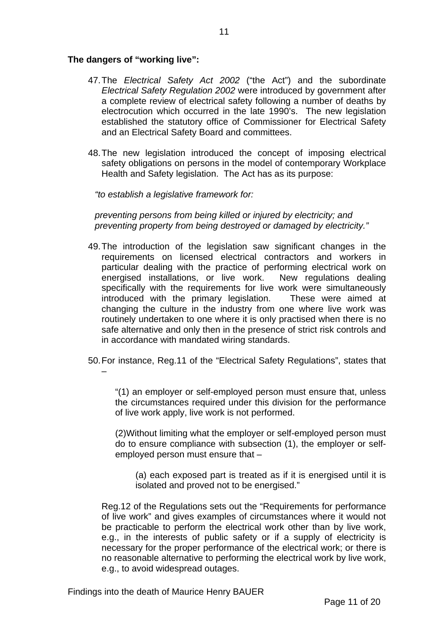#### **The dangers of "working live":**

- 47. The *Electrical Safety Act 2002* ("the Act") and the subordinate *Electrical Safety Regulation 2002* were introduced by government after a complete review of electrical safety following a number of deaths by electrocution which occurred in the late 1990's. The new legislation established the statutory office of Commissioner for Electrical Safety and an Electrical Safety Board and committees.
- 48. The new legislation introduced the concept of imposing electrical safety obligations on persons in the model of contemporary Workplace Health and Safety legislation. The Act has as its purpose:

*"to establish a legislative framework for:* 

 *preventing persons from being killed or injured by electricity; and preventing property from being destroyed or damaged by electricity."*

- 49. The introduction of the legislation saw significant changes in the requirements on licensed electrical contractors and workers in particular dealing with the practice of performing electrical work on energised installations, or live work. New regulations dealing specifically with the requirements for live work were simultaneously introduced with the primary legislation. These were aimed at changing the culture in the industry from one where live work was routinely undertaken to one where it is only practised when there is no safe alternative and only then in the presence of strict risk controls and in accordance with mandated wiring standards.
- 50. For instance, Reg.11 of the "Electrical Safety Regulations", states that –

"(1) an employer or self-employed person must ensure that, unless the circumstances required under this division for the performance of live work apply, live work is not performed.

(2)Without limiting what the employer or self-employed person must do to ensure compliance with subsection (1), the employer or selfemployed person must ensure that –

(a) each exposed part is treated as if it is energised until it is isolated and proved not to be energised."

Reg.12 of the Regulations sets out the "Requirements for performance of live work" and gives examples of circumstances where it would not be practicable to perform the electrical work other than by live work, e.g., in the interests of public safety or if a supply of electricity is necessary for the proper performance of the electrical work; or there is no reasonable alternative to performing the electrical work by live work, e.g., to avoid widespread outages.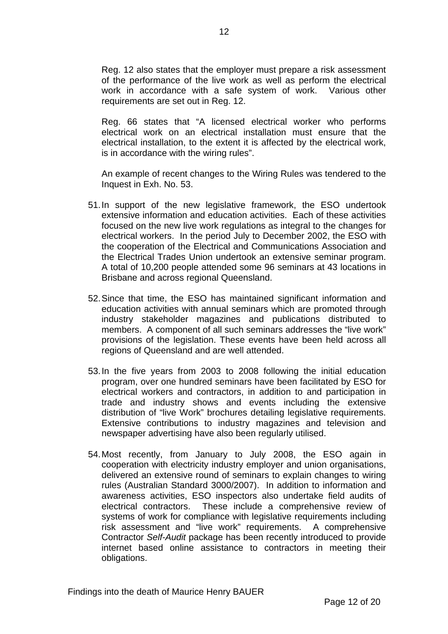Reg. 12 also states that the employer must prepare a risk assessment of the performance of the live work as well as perform the electrical work in accordance with a safe system of work. Various other requirements are set out in Reg. 12.

Reg. 66 states that "A licensed electrical worker who performs electrical work on an electrical installation must ensure that the electrical installation, to the extent it is affected by the electrical work, is in accordance with the wiring rules".

An example of recent changes to the Wiring Rules was tendered to the Inquest in Exh. No. 53.

- 51. In support of the new legislative framework, the ESO undertook extensive information and education activities. Each of these activities focused on the new live work regulations as integral to the changes for electrical workers. In the period July to December 2002, the ESO with the cooperation of the Electrical and Communications Association and the Electrical Trades Union undertook an extensive seminar program. A total of 10,200 people attended some 96 seminars at 43 locations in Brisbane and across regional Queensland.
- 52. Since that time, the ESO has maintained significant information and education activities with annual seminars which are promoted through industry stakeholder magazines and publications distributed to members. A component of all such seminars addresses the "live work" provisions of the legislation. These events have been held across all regions of Queensland and are well attended.
- 53. In the five years from 2003 to 2008 following the initial education program, over one hundred seminars have been facilitated by ESO for electrical workers and contractors, in addition to and participation in trade and industry shows and events including the extensive distribution of "live Work" brochures detailing legislative requirements. Extensive contributions to industry magazines and television and newspaper advertising have also been regularly utilised.
- 54. Most recently, from January to July 2008, the ESO again in cooperation with electricity industry employer and union organisations, delivered an extensive round of seminars to explain changes to wiring rules (Australian Standard 3000/2007). In addition to information and awareness activities, ESO inspectors also undertake field audits of electrical contractors. These include a comprehensive review of systems of work for compliance with legislative requirements including risk assessment and "live work" requirements. A comprehensive Contractor *Self-Audit* package has been recently introduced to provide internet based online assistance to contractors in meeting their obligations.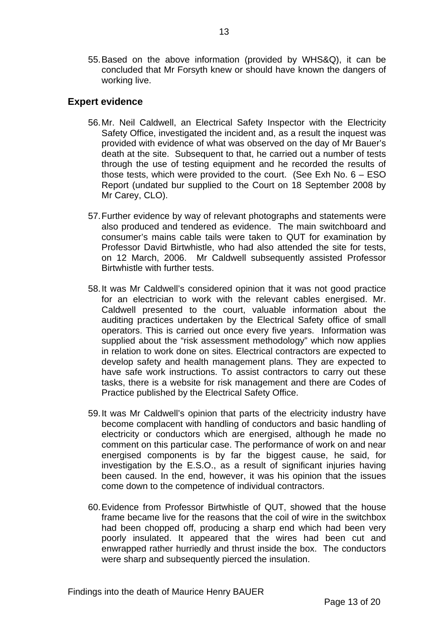55. Based on the above information (provided by WHS&Q), it can be concluded that Mr Forsyth knew or should have known the dangers of working live.

13

### **Expert evidence**

- 56. Mr. Neil Caldwell, an Electrical Safety Inspector with the Electricity Safety Office, investigated the incident and, as a result the inquest was provided with evidence of what was observed on the day of Mr Bauer's death at the site. Subsequent to that, he carried out a number of tests through the use of testing equipment and he recorded the results of those tests, which were provided to the court. (See Exh No. 6 – ESO Report (undated bur supplied to the Court on 18 September 2008 by Mr Carey, CLO).
- 57. Further evidence by way of relevant photographs and statements were also produced and tendered as evidence. The main switchboard and consumer's mains cable tails were taken to QUT for examination by Professor David Birtwhistle, who had also attended the site for tests, on 12 March, 2006. Mr Caldwell subsequently assisted Professor Birtwhistle with further tests.
- 58. It was Mr Caldwell's considered opinion that it was not good practice for an electrician to work with the relevant cables energised. Mr. Caldwell presented to the court, valuable information about the auditing practices undertaken by the Electrical Safety office of small operators. This is carried out once every five years. Information was supplied about the "risk assessment methodology" which now applies in relation to work done on sites. Electrical contractors are expected to develop safety and health management plans. They are expected to have safe work instructions. To assist contractors to carry out these tasks, there is a website for risk management and there are Codes of Practice published by the Electrical Safety Office.
- 59. It was Mr Caldwell's opinion that parts of the electricity industry have become complacent with handling of conductors and basic handling of electricity or conductors which are energised, although he made no comment on this particular case. The performance of work on and near energised components is by far the biggest cause, he said, for investigation by the E.S.O., as a result of significant injuries having been caused. In the end, however, it was his opinion that the issues come down to the competence of individual contractors.
- 60. Evidence from Professor Birtwhistle of QUT, showed that the house frame became live for the reasons that the coil of wire in the switchbox had been chopped off, producing a sharp end which had been very poorly insulated. It appeared that the wires had been cut and enwrapped rather hurriedly and thrust inside the box. The conductors were sharp and subsequently pierced the insulation.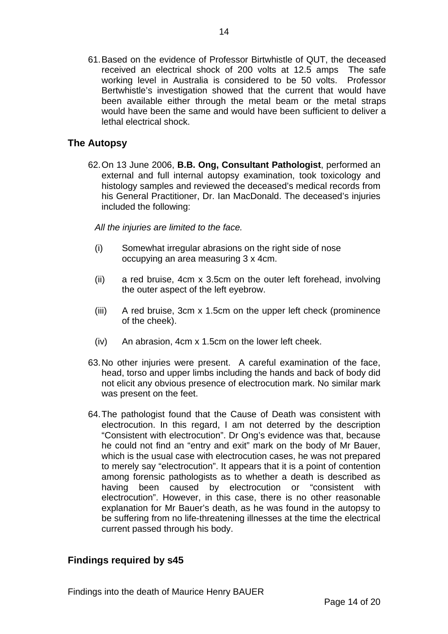61. Based on the evidence of Professor Birtwhistle of QUT, the deceased received an electrical shock of 200 volts at 12.5 amps The safe working level in Australia is considered to be 50 volts. Professor Bertwhistle's investigation showed that the current that would have been available either through the metal beam or the metal straps would have been the same and would have been sufficient to deliver a lethal electrical shock.

## **The Autopsy**

62. On 13 June 2006, **B.B. Ong, Consultant Pathologist**, performed an external and full internal autopsy examination, took toxicology and histology samples and reviewed the deceased's medical records from his General Practitioner, Dr. Ian MacDonald. The deceased's injuries included the following:

*All the injuries are limited to the face.* 

- (i) Somewhat irregular abrasions on the right side of nose occupying an area measuring 3 x 4cm.
- (ii) a red bruise, 4cm x 3.5cm on the outer left forehead, involving the outer aspect of the left eyebrow.
- (iii) A red bruise, 3cm x 1.5cm on the upper left check (prominence of the cheek).
- (iv) An abrasion, 4cm x 1.5cm on the lower left cheek.
- 63. No other injuries were present. A careful examination of the face, head, torso and upper limbs including the hands and back of body did not elicit any obvious presence of electrocution mark. No similar mark was present on the feet.
- 64. The pathologist found that the Cause of Death was consistent with electrocution. In this regard, I am not deterred by the description "Consistent with electrocution". Dr Ong's evidence was that, because he could not find an "entry and exit" mark on the body of Mr Bauer, which is the usual case with electrocution cases, he was not prepared to merely say "electrocution". It appears that it is a point of contention among forensic pathologists as to whether a death is described as having been caused by electrocution or "consistent with electrocution". However, in this case, there is no other reasonable explanation for Mr Bauer's death, as he was found in the autopsy to be suffering from no life-threatening illnesses at the time the electrical current passed through his body.

## **Findings required by s45**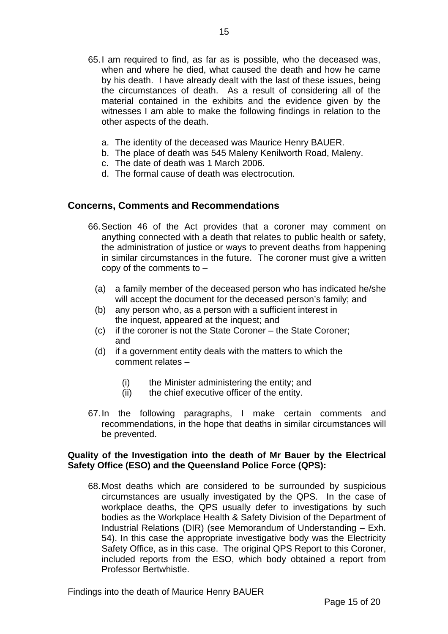- 65. I am required to find, as far as is possible, who the deceased was, when and where he died, what caused the death and how he came by his death. I have already dealt with the last of these issues, being the circumstances of death. As a result of considering all of the material contained in the exhibits and the evidence given by the witnesses I am able to make the following findings in relation to the other aspects of the death.
	- a. The identity of the deceased was Maurice Henry BAUER.
	- b. The place of death was 545 Maleny Kenilworth Road, Maleny.
	- c. The date of death was 1 March 2006.
	- d. The formal cause of death was electrocution.

### **Concerns, Comments and Recommendations**

- 66. Section 46 of the Act provides that a coroner may comment on anything connected with a death that relates to public health or safety, the administration of justice or ways to prevent deaths from happening in similar circumstances in the future. The coroner must give a written copy of the comments to –
	- (a) a family member of the deceased person who has indicated he/she will accept the document for the deceased person's family; and
	- (b) any person who, as a person with a sufficient interest in the inquest, appeared at the inquest; and
	- (c) if the coroner is not the State Coroner the State Coroner; and
	- (d) if a government entity deals with the matters to which the comment relates –
		- (i) the Minister administering the entity; and
		- (ii) the chief executive officer of the entity.
- 67. In the following paragraphs, I make certain comments and recommendations, in the hope that deaths in similar circumstances will be prevented.

#### **Quality of the Investigation into the death of Mr Bauer by the Electrical Safety Office (ESO) and the Queensland Police Force (QPS):**

68. Most deaths which are considered to be surrounded by suspicious circumstances are usually investigated by the QPS. In the case of workplace deaths, the QPS usually defer to investigations by such bodies as the Workplace Health & Safety Division of the Department of Industrial Relations (DIR) (see Memorandum of Understanding – Exh. 54). In this case the appropriate investigative body was the Electricity Safety Office, as in this case. The original QPS Report to this Coroner, included reports from the ESO, which body obtained a report from Professor Bertwhistle.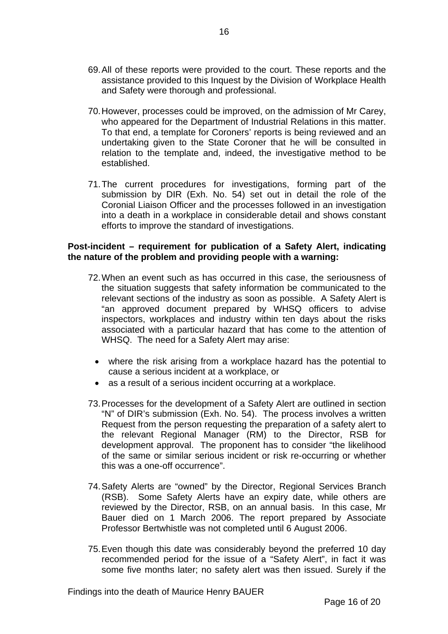- 69. All of these reports were provided to the court. These reports and the assistance provided to this Inquest by the Division of Workplace Health and Safety were thorough and professional.
- 70. However, processes could be improved, on the admission of Mr Carey, who appeared for the Department of Industrial Relations in this matter. To that end, a template for Coroners' reports is being reviewed and an undertaking given to the State Coroner that he will be consulted in relation to the template and, indeed, the investigative method to be established.
- 71. The current procedures for investigations, forming part of the submission by DIR (Exh. No. 54) set out in detail the role of the Coronial Liaison Officer and the processes followed in an investigation into a death in a workplace in considerable detail and shows constant efforts to improve the standard of investigations.

#### **Post-incident – requirement for publication of a Safety Alert, indicating the nature of the problem and providing people with a warning:**

- 72. When an event such as has occurred in this case, the seriousness of the situation suggests that safety information be communicated to the relevant sections of the industry as soon as possible. A Safety Alert is "an approved document prepared by WHSQ officers to advise inspectors, workplaces and industry within ten days about the risks associated with a particular hazard that has come to the attention of WHSQ. The need for a Safety Alert may arise:
	- where the risk arising from a workplace hazard has the potential to cause a serious incident at a workplace, or
	- as a result of a serious incident occurring at a workplace.
- 73. Processes for the development of a Safety Alert are outlined in section "N" of DIR's submission (Exh. No. 54). The process involves a written Request from the person requesting the preparation of a safety alert to the relevant Regional Manager (RM) to the Director, RSB for development approval. The proponent has to consider "the likelihood of the same or similar serious incident or risk re-occurring or whether this was a one-off occurrence".
- 74. Safety Alerts are "owned" by the Director, Regional Services Branch (RSB). Some Safety Alerts have an expiry date, while others are reviewed by the Director, RSB, on an annual basis. In this case, Mr Bauer died on 1 March 2006. The report prepared by Associate Professor Bertwhistle was not completed until 6 August 2006.
- 75. Even though this date was considerably beyond the preferred 10 day recommended period for the issue of a "Safety Alert", in fact it was some five months later; no safety alert was then issued. Surely if the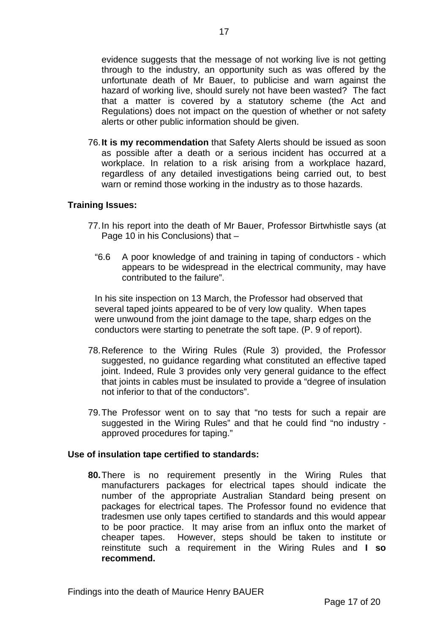evidence suggests that the message of not working live is not getting through to the industry, an opportunity such as was offered by the unfortunate death of Mr Bauer, to publicise and warn against the hazard of working live, should surely not have been wasted? The fact that a matter is covered by a statutory scheme (the Act and Regulations) does not impact on the question of whether or not safety alerts or other public information should be given.

76. **It is my recommendation** that Safety Alerts should be issued as soon as possible after a death or a serious incident has occurred at a workplace. In relation to a risk arising from a workplace hazard, regardless of any detailed investigations being carried out, to best warn or remind those working in the industry as to those hazards.

#### **Training Issues:**

- 77. In his report into the death of Mr Bauer, Professor Birtwhistle says (at Page 10 in his Conclusions) that –
	- "6.6 A poor knowledge of and training in taping of conductors which appears to be widespread in the electrical community, may have contributed to the failure".

In his site inspection on 13 March, the Professor had observed that several taped joints appeared to be of very low quality. When tapes were unwound from the joint damage to the tape, sharp edges on the conductors were starting to penetrate the soft tape. (P. 9 of report).

- 78. Reference to the Wiring Rules (Rule 3) provided, the Professor suggested, no guidance regarding what constituted an effective taped joint. Indeed, Rule 3 provides only very general guidance to the effect that joints in cables must be insulated to provide a "degree of insulation not inferior to that of the conductors".
- 79. The Professor went on to say that "no tests for such a repair are suggested in the Wiring Rules" and that he could find "no industry approved procedures for taping."

#### **Use of insulation tape certified to standards:**

**80.** There is no requirement presently in the Wiring Rules that manufacturers packages for electrical tapes should indicate the number of the appropriate Australian Standard being present on packages for electrical tapes. The Professor found no evidence that tradesmen use only tapes certified to standards and this would appear to be poor practice. It may arise from an influx onto the market of cheaper tapes. However, steps should be taken to institute or reinstitute such a requirement in the Wiring Rules and **I so recommend.**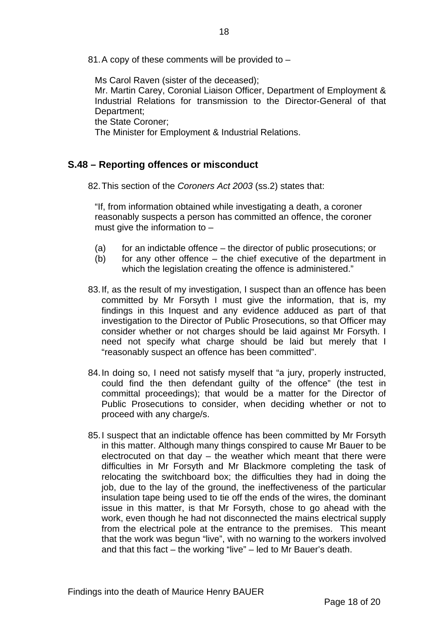81. A copy of these comments will be provided to –

Ms Carol Raven (sister of the deceased); Mr. Martin Carey, Coronial Liaison Officer, Department of Employment & Industrial Relations for transmission to the Director-General of that Department; the State Coroner;

The Minister for Employment & Industrial Relations.

## **S.48 – Reporting offences or misconduct**

82. This section of the *Coroners Act 2003* (ss.2) states that:

 "If, from information obtained while investigating a death, a coroner reasonably suspects a person has committed an offence, the coroner must give the information to  $-$ 

- (a) for an indictable offence the director of public prosecutions; or
- (b) for any other offence the chief executive of the department in which the legislation creating the offence is administered."
- 83. If, as the result of my investigation, I suspect than an offence has been committed by Mr Forsyth I must give the information, that is, my findings in this Inquest and any evidence adduced as part of that investigation to the Director of Public Prosecutions, so that Officer may consider whether or not charges should be laid against Mr Forsyth. I need not specify what charge should be laid but merely that I "reasonably suspect an offence has been committed".
- 84. In doing so, I need not satisfy myself that "a jury, properly instructed, could find the then defendant guilty of the offence" (the test in committal proceedings); that would be a matter for the Director of Public Prosecutions to consider, when deciding whether or not to proceed with any charge/s.
- 85. I suspect that an indictable offence has been committed by Mr Forsyth in this matter. Although many things conspired to cause Mr Bauer to be electrocuted on that day  $-$  the weather which meant that there were difficulties in Mr Forsyth and Mr Blackmore completing the task of relocating the switchboard box; the difficulties they had in doing the job, due to the lay of the ground, the ineffectiveness of the particular insulation tape being used to tie off the ends of the wires, the dominant issue in this matter, is that Mr Forsyth, chose to go ahead with the work, even though he had not disconnected the mains electrical supply from the electrical pole at the entrance to the premises. This meant that the work was begun "live", with no warning to the workers involved and that this fact – the working "live" – led to Mr Bauer's death.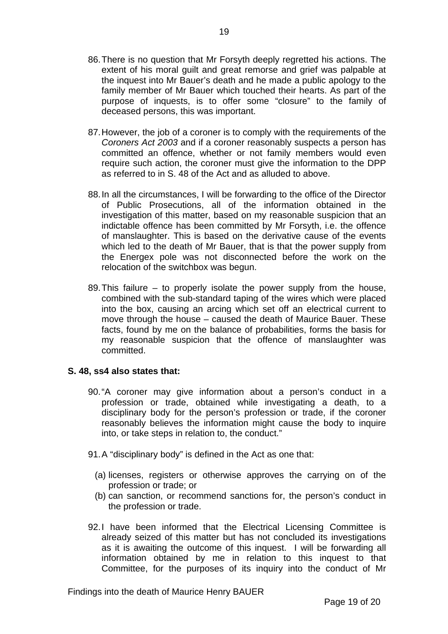- 86. There is no question that Mr Forsyth deeply regretted his actions. The extent of his moral guilt and great remorse and grief was palpable at the inquest into Mr Bauer's death and he made a public apology to the family member of Mr Bauer which touched their hearts. As part of the purpose of inquests, is to offer some "closure" to the family of deceased persons, this was important.
- 87. However, the job of a coroner is to comply with the requirements of the *Coroners Act 2003* and if a coroner reasonably suspects a person has committed an offence, whether or not family members would even require such action, the coroner must give the information to the DPP as referred to in S. 48 of the Act and as alluded to above.
- 88. In all the circumstances, I will be forwarding to the office of the Director of Public Prosecutions, all of the information obtained in the investigation of this matter, based on my reasonable suspicion that an indictable offence has been committed by Mr Forsyth, i.e. the offence of manslaughter. This is based on the derivative cause of the events which led to the death of Mr Bauer, that is that the power supply from the Energex pole was not disconnected before the work on the relocation of the switchbox was begun.
- 89. This failure to properly isolate the power supply from the house, combined with the sub-standard taping of the wires which were placed into the box, causing an arcing which set off an electrical current to move through the house – caused the death of Maurice Bauer. These facts, found by me on the balance of probabilities, forms the basis for my reasonable suspicion that the offence of manslaughter was committed.

#### **S. 48, ss4 also states that:**

- 90. "A coroner may give information about a person's conduct in a profession or trade, obtained while investigating a death, to a disciplinary body for the person's profession or trade, if the coroner reasonably believes the information might cause the body to inquire into, or take steps in relation to, the conduct."
- 91. A "disciplinary body" is defined in the Act as one that:
	- (a) licenses, registers or otherwise approves the carrying on of the profession or trade; or
	- (b) can sanction, or recommend sanctions for, the person's conduct in the profession or trade.
- 92. I have been informed that the Electrical Licensing Committee is already seized of this matter but has not concluded its investigations as it is awaiting the outcome of this inquest. I will be forwarding all information obtained by me in relation to this inquest to that Committee, for the purposes of its inquiry into the conduct of Mr